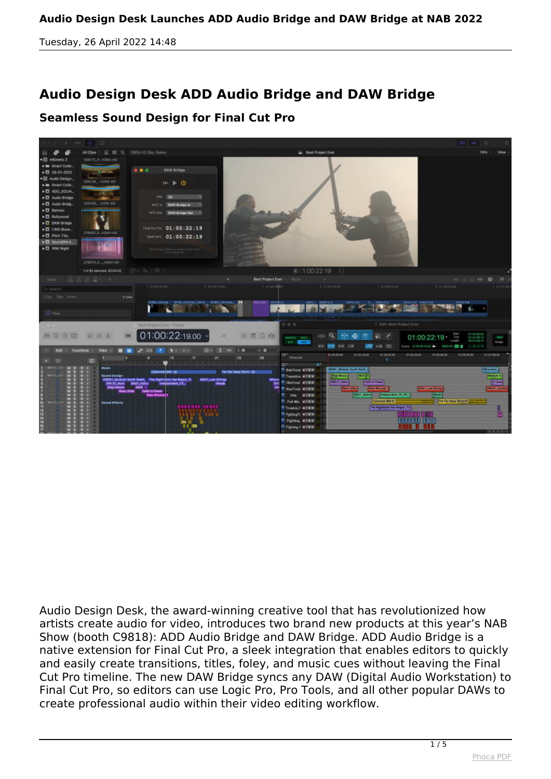## **Audio Design Desk ADD Audio Bridge and DAW Bridge**

## **Seamless Sound Design for Final Cut Pro**



*Audio Design Desk, the award-winning creative tool that has revolutionized how artists create audio for video, introduces two brand new products at this year's NAB Show (booth C9818): ADD Audio Bridge and DAW Bridge. ADD Audio Bridge is a native extension for Final Cut Pro, a sleek integration that enables editors to quickly and easily create transitions, titles, foley, and music cues without leaving the Final Cut Pro timeline. The new DAW Bridge syncs any DAW (Digital Audio Workstation) to Final Cut Pro, so editors can use Logic Pro, Pro Tools, and all other popular DAWs to create professional audio within their video editing workflow.*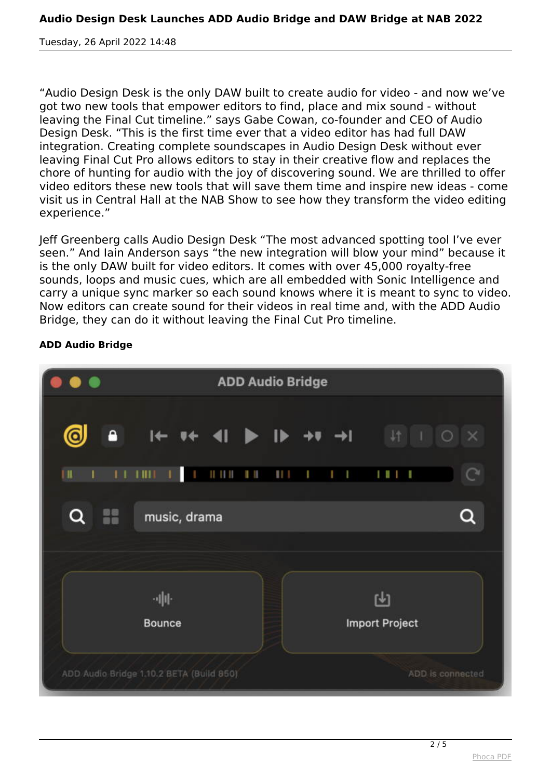*"Audio Design Desk is the only DAW built to create audio for video - and now we've got two new tools that empower editors to find, place and mix sound - without leaving the Final Cut timeline." says Gabe Cowan, co-founder and CEO of Audio Design Desk. "This is the first time ever that a video editor has had full DAW integration. Creating complete soundscapes in Audio Design Desk without ever leaving Final Cut Pro allows editors to stay in their creative flow and replaces the chore of hunting for audio with the joy of discovering sound. We are thrilled to offer video editors these new tools that will save them time and inspire new ideas - come visit us in Central Hall at the NAB Show to see how they transform the video editing experience."*

*Jeff Greenberg calls Audio Design Desk "The most advanced spotting tool I've ever seen." And Iain Anderson says "the new integration will blow your mind" because it is the only DAW built for video editors. It comes with over 45,000 royalty-free sounds, loops and music cues, which are all embedded with Sonic Intelligence and carry a unique sync marker so each sound knows where it is meant to sync to video. Now editors can create sound for their videos in real time and, with the ADD Audio Bridge, they can do it without leaving the Final Cut Pro timeline.*



## **ADD Audio Bridge**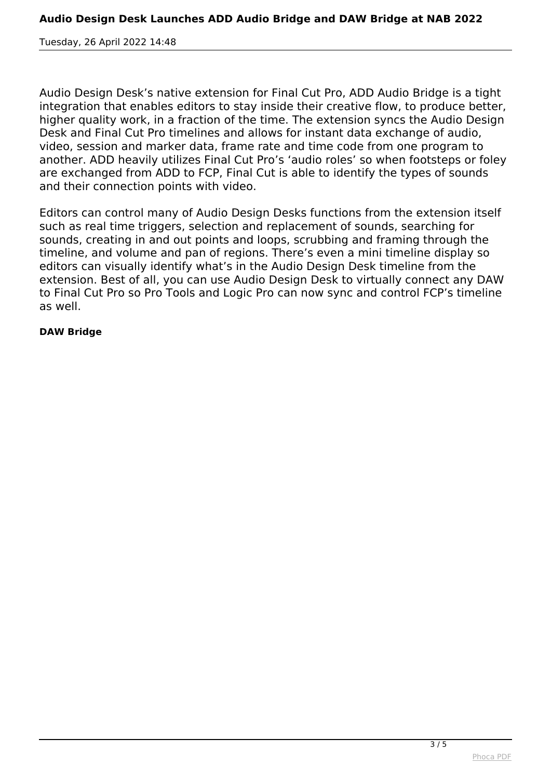*Audio Design Desk's native extension for Final Cut Pro, ADD Audio Bridge is a tight integration that enables editors to stay inside their creative flow, to produce better, higher quality work, in a fraction of the time. The extension syncs the Audio Design Desk and Final Cut Pro timelines and allows for instant data exchange of audio, video, session and marker data, frame rate and time code from one program to another. ADD heavily utilizes Final Cut Pro's 'audio roles' so when footsteps or foley are exchanged from ADD to FCP, Final Cut is able to identify the types of sounds and their connection points with video.*

*Editors can control many of Audio Design Desks functions from the extension itself such as real time triggers, selection and replacement of sounds, searching for sounds, creating in and out points and loops, scrubbing and framing through the timeline, and volume and pan of regions. There's even a mini timeline display so editors can visually identify what's in the Audio Design Desk timeline from the extension. Best of all, you can use Audio Design Desk to virtually connect any DAW to Final Cut Pro so Pro Tools and Logic Pro can now sync and control FCP's timeline as well.*

## **DAW Bridge**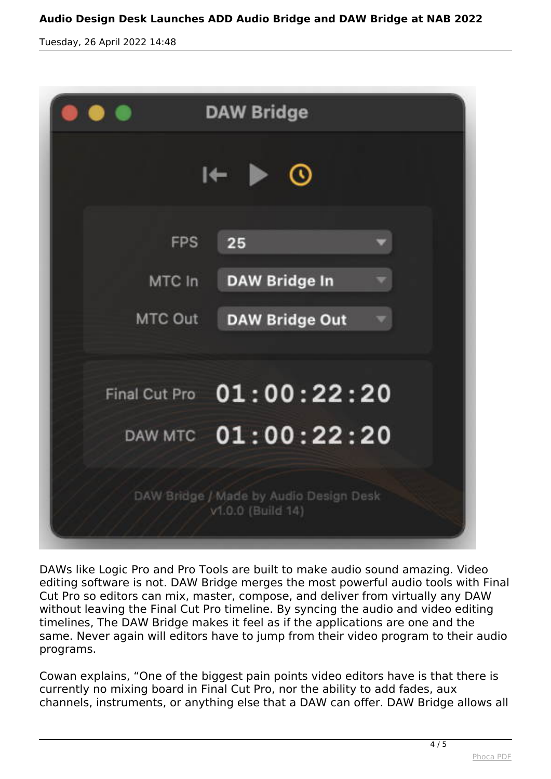|                                                             | <b>DAW Bridge</b>         |
|-------------------------------------------------------------|---------------------------|
| $\mathbb{R} \rightarrow \mathbb{Q}$                         |                           |
| <b>FPS</b>                                                  | 25                        |
| MTC In                                                      | <b>DAW Bridge In</b>      |
| MTC Out                                                     | <b>DAW Bridge Out</b>     |
|                                                             |                           |
|                                                             | Final Cut Pro 01:00:22:20 |
|                                                             | DAW MTC 01:00:22:20       |
| DAW Bridge / Made by Audio Design Desk<br>v1.0.0 (Build 14) |                           |

*DAWs like Logic Pro and Pro Tools are built to make audio sound amazing. Video editing software is not. DAW Bridge merges the most powerful audio tools with Final Cut Pro so editors can mix, master, compose, and deliver from virtually any DAW without leaving the Final Cut Pro timeline. By syncing the audio and video editing timelines, The DAW Bridge makes it feel as if the applications are one and the same. Never again will editors have to jump from their video program to their audio programs.* 

*Cowan explains, "One of the biggest pain points video editors have is that there is currently no mixing board in Final Cut Pro, nor the ability to add fades, aux channels, instruments, or anything else that a DAW can offer. DAW Bridge allows all*